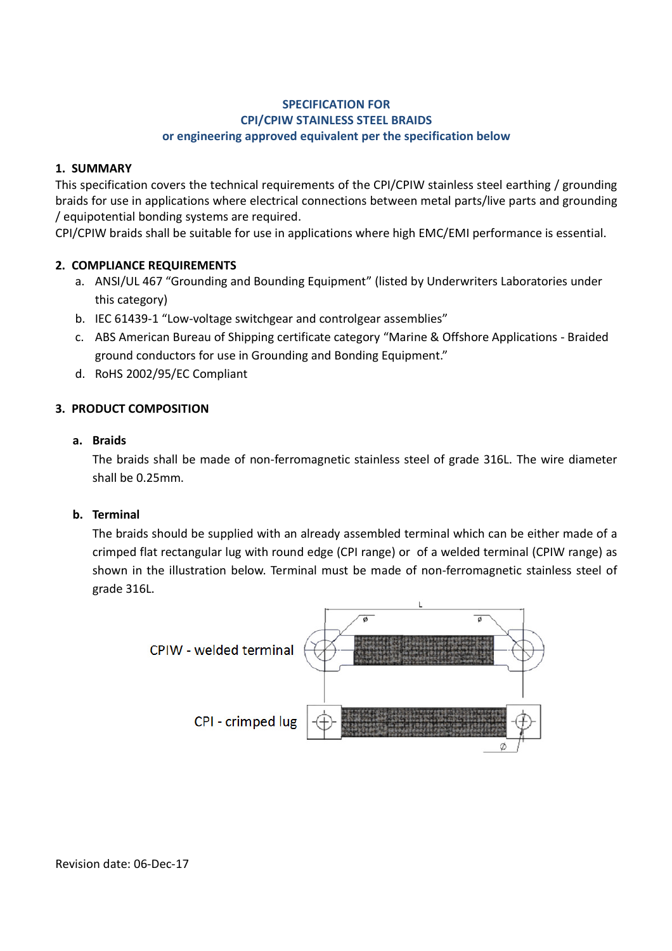#### **SPECIFICATION FOR CPI/CPIW STAINLESS STEEL BRAIDS or engineering approved equivalent per the specification below**

## **1. SUMMARY**

This specification covers the technical requirements of the CPI/CPIW stainless steel earthing / grounding braids for use in applications where electrical connections between metal parts/live parts and grounding / equipotential bonding systems are required.

CPI/CPIW braids shall be suitable for use in applications where high EMC/EMI performance is essential.

## **2. COMPLIANCE REQUIREMENTS**

- a. ANSI/UL 467 "Grounding and Bounding Equipment" (listed by Underwriters Laboratories under this category)
- b. IEC 61439-1 "Low-voltage switchgear and controlgear assemblies"
- c. ABS American Bureau of Shipping certificate category "Marine & Offshore Applications Braided ground conductors for use in Grounding and Bonding Equipment."
- d. RoHS 2002/95/EC Compliant

## **3. PRODUCT COMPOSITION**

#### **a. Braids**

The braids shall be made of non-ferromagnetic stainless steel of grade 316L. The wire diameter shall be 0.25mm.

#### **b. Terminal**

The braids should be supplied with an already assembled terminal which can be either made of a crimped flat rectangular lug with round edge (CPI range) or of a welded terminal (CPIW range) as shown in the illustration below. Terminal must be made of non-ferromagnetic stainless steel of grade 316L.



Revision date: 06-Dec-17